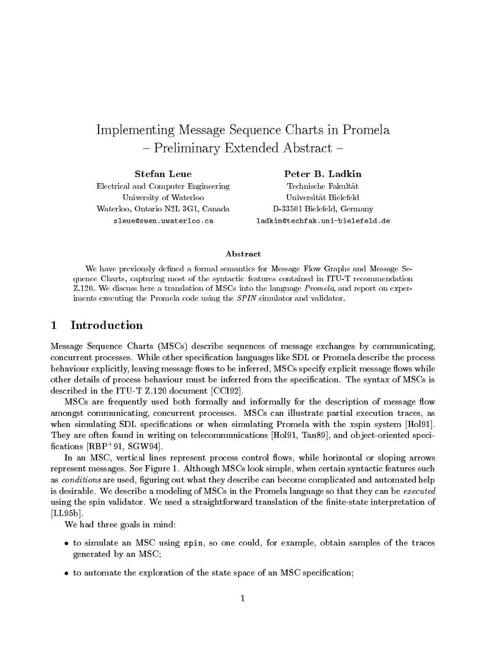# Implementing Message Sequence Charts in Promela  $-$  Preliminary Extended Abstract  $-$

Stefan LeueElectrical and Computer EngineeringUniversity of WaterlooWaterloo, Ontario N2L 3G1, Canadasleue@swen.uwaterloo.ca

Peter B. LadkinTechnische FakultatUniversitat BielefeldD-33501 Bielefeld, Germanyladkin@techfak.uni-bielefeld.de

### Abstract

We have previously defined a formal semantics for Message Flow Graphs and Message Sequence Charts, capturing most of the syntactic features contained in ITU-T recommendation $\mu$ .120. We discuss here a translation of MSCs into the language P*romela*, and report on experiments executing the Promela code using the SPIN simulator and validator.

# 1 Introduction

Message Sequence Charts (MSCs) describe sequences of message exchanges by communicating, concurrent processes. While other specication languages like SDL or Promela describe the process behaviour explicitly, leaving message flows to be inferred, MSCs specify explicit message flows while other details of process behaviour must be inferred from the specication. The syntax of MSCs is described in the ITU-T Z.120 document [CCI92].

MSCs are frequently used both formally and informally for the description of message flow amongst communicating, concurrent processes. MSCs can illustrate partial execution traces, as when simulating SDL specifications or when simulating Promela with the xspin system [Hol91]. They are often found in writing on telecommunications [Hol91, Tan89], and ob ject-oriented speci cations [RBP<sup>+</sup> 91, SGW94].

In an MSC, vertical lines represent process control flows, while horizontal or sloping arrows represent messages. See Figure 1. Although MSCs look simple, when certain syntactic features such as conditions are used, figuring out what they describe can become complicated and automated help is desirable. We describe a modeling of MSCs in the Promela language so that they can be *executed* using the spin validator. We used a straightforward translation of the finite-state interpretation of [LL95b].

We had three goals in mind:

- to simulate an MSC using spin, so one could, for example, obtain samples of the traces generated by an MSC;
- to automate the exploration of the state space of an MSC specication;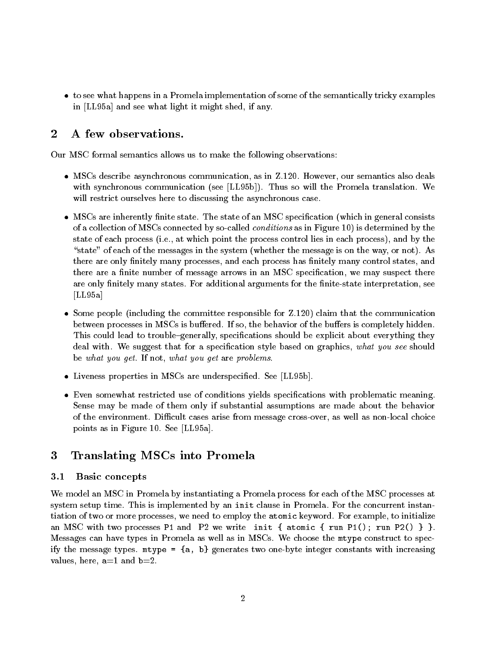to see what happens in a Promela implementation of some of the semantically tricky examples in [LL95a] and see what light it might shed, if any.

# 2 A few observations.

Our MSC formal semantics allows us to make the following observations:

- MSCs describe asynchronous communication, as in Z.120. However, our semantics also deals with synchronous communication (see [LL95b]). Thus so will the Promela translation. We will restrict ourselves here to discussing the asynchronous case.
- . MSCs are inherently nite state of an MSC specification (which in general consists  $\mathbf{u}$  in general consists  $\mathbf{u}$ of a collection of MSCs connected by so-called conditions as in Figure 10) is determined by the state of each process (i.e., at which point the process control lies in each process), and by the "state" of each of the messages in the system (whether the message is on the way, or not). As there are only finitely many processes, and each process has finitely many control states, and there are a finite number of message arrows in an MSC specification, we may suspect there are only finitely many states. For additional arguments for the finite-state interpretation, see  $[LL95a]$
- Some people (including the committee responsible for Z.120) claim that the communication between processes in MSCs is buffered. If so, the behavior of the buffers is completely hidden. This could lead to trouble–generally, specifications should be explicit about everything they deal with. We suggest that for a specification style based on graphics, what you see should be what you get. If not, what you get are problems.
- Liveness properties in MSCs are underspecied. See [LL95b].
- Even somewhat restricted use of conditions yields specications with problematic meaning. Sense may be made of them only if substantial assumptions are made about the behavior of the environment. Difficult cases arise from message cross-over, as well as non-local choice points as in Figure 10. See [LL95a].

# 3 Translating MSCs into Promela

#### 3.1Basic concepts

We model an MSC in Promela by instantiating a Promela process for each of the MSC processes at system setup time. This is implemented by an init clause in Promela. For the concurrent instantiation of two or more processes, we need to employ the atomic keyword. For example, to initialize an MSC with two processes P1 and P2 we write init { atomic { run P1(); run P2() } }. Messages can have types in Promela as well as in MSCs. We choose the mtype construct to specify the message types. mtype =  $\{a, b\}$  generates two one-byte integer constants with increasing values, here,  $a=1$  and  $b=2$ .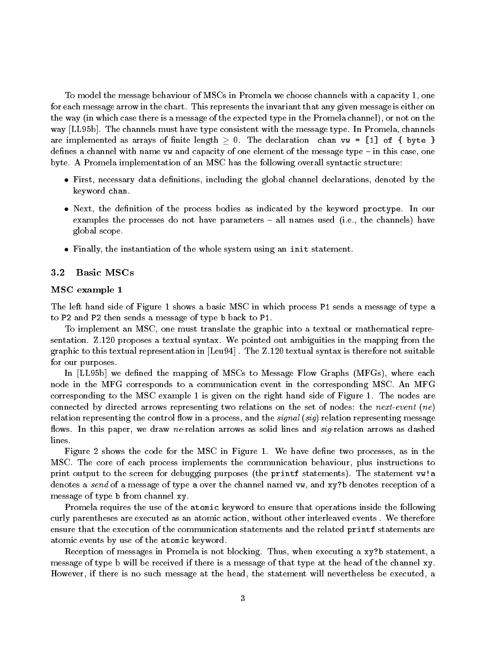To model the message behaviour of MSCs in Promela we choose channels with a capacity 1, one for each message arrow in the chart. This represents the invariant that any given message is either on the way (in which case there is a message of the expected type in the Promela channel), or not on the way [LL95b]. The channels must have type consistent with the message type. In Promela, channels are implemented as arrays of finite length  $> 0$ . The declaration chan vw = [1] of { byte } defines a channel with name vw and capacity of one element of the message type  $-$  in this case, one byte. A Promela implementation of an MSC has the following overall syntactic structure:

- First, necessary data denoted by data denoted by the global channel declarations, declarations, declarations, declarations, declarations, declarations, declarations, declarations, declarations, declarations, declarations, keyword chan.
- Next, the denition of the process bodies as indicated by the keyword proctype. In our examples the processes do not have parameters  $-$  all names used (i.e., the channels) have global scope.
- Finally, the instantiation of the whole system using an init statement.

#### 3.2Basic MSCs

### MSC example 1

The left hand side of Figure 1 shows a basic MSC in which process P1 sends a message of type a to P2 and P2 then sends a message of type b back to P1.

To implement an MSC, one must translate the graphic into a textual or mathematical representation. Z.120 proposes a textual syntax. We pointed out ambiguities in the mapping from the graphic to this textual representation in [Leu94] . The Z.120 textual syntax is therefore not suitable for our purposes.

In [LL95b] we defined the mapping of MSCs to Message Flow Graphs (MFGs), where each node in the MFG corresponds to a communication event in the corresponding MSC. An MFG corresponding to the MSC example 1 is given on the right hand side of Figure 1. The nodes are connected by directed arrows representing two relations on the set of nodes: the next-event (ne) relation representing the control flow in a process, and the *signal* (sig) relation representing message flows. In this paper, we draw ne-relation arrows as solid lines and  $sig$ -relation arrows as dashed lines.

Figure 2 shows the code for the MSC in Figure 1. We have define two processes, as in the MSC. The core of each process implements the communication behaviour, plus instructions to print output to the screen for debugging purposes (the printf statements). The statement vw!a denotes a send of a message of type a over the channel named vw, and xy?b denotes reception of a message of type b from channel xy.

Promela requires the use of the atomic keyword to ensure that operations inside the following curly parentheses are executed as an atomic action, without other interleaved events . We therefore ensure that the execution of the communication statements and the related printf statements are atomic events by use of the atomic keyword.

Reception of messages in Promela is not blocking. Thus, when executing a xy?b statement, a message of type b will be received if there is a message of that type at the head of the channel xy. However, if there is no such message at the head, the statement will nevertheless be executed, a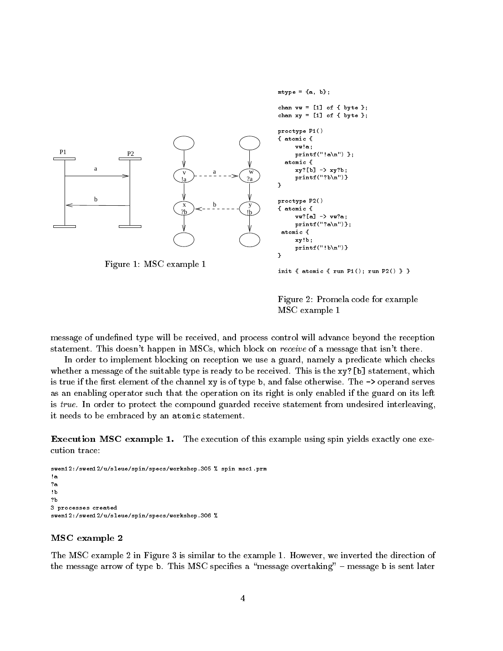

Figure 2: Promela code for example MSC example 1

message of undefined type will be received, and process control will advance beyond the reception statement. This doesn't happen in MSCs, which block on *receive* of a message that isn't there.

In order to implement blocking on reception we use a guard, namely a predicate which checks whether a message of the suitable type is ready to be received. This is the xy?[b] statement, which is true if the first element of the channel xy is of type  $b$ , and false otherwise. The  $\rightarrow$  operand serves as an enabling operator such that the operation on its right is only enabled if the guard on its left is true. In order to protect the compound guarded receive statement from undesired interleaving, it needs to be embraced by an atomic statement.

Execution MSC example 1. The execution of this example using spin yields exactly one execution trace:

```
swen12:/swen12/u/sleue/spin/specs/workshop.305 % spin msc1.prm
!a
?b
3 processes created
swen12:/swen12/u/sleue/spin/specs/workshop.306 %
```
### MSC example 2

The MSC example 2 in Figure 3 is similar to the example 1. However, we inverted the direction of the message arrow of type b. This MSC specifies a "message overtaking"  $-$  message b is sent later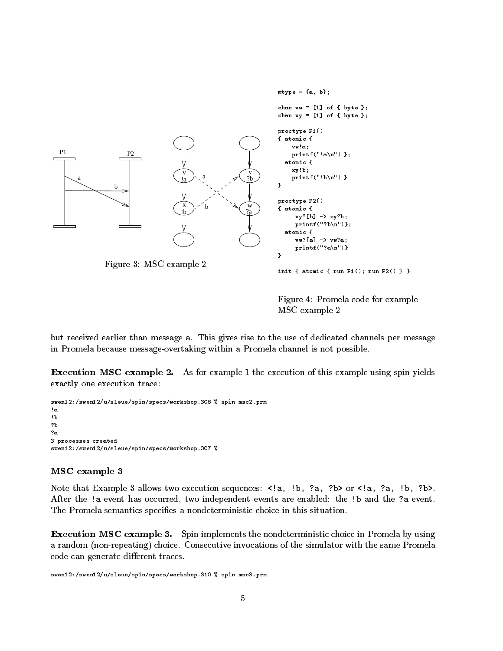

Figure 4: Promela code for example MSC example 2

but received earlier than message a. This gives rise to the use of dedicated channels per message in Promela because message-overtaking within a Promela channel is not possible.

 $\bf{L}$ xecution MSC example 2. As for example 1 the execution of this example using spin yields exactly one execution trace:

swen12:/swen12/u/sleue/spin/specs/workshop.306 % spin msc2.prm !a !b ?b  $2a$ 3 processes created swen12:/swen12/u/sleue/spin/specs/workshop.307 %

### MSC example 3

Note that Example 3 allows two execution sequences: <!a, !b, ?a, ?b> or <!a, ?a, !b, ?b>. After the !a event has occurred, two independent events are enabled: the !b and the ?a event. The Promela semantics specifies a nondeterministic choice in this situation.

Execution MSC example 3. Spin implements the nondeterministic choice in Promela by using a random (non-repeating) choice. Consecutive invocations of the simulator with the same Promela code can generate different traces.

swen12:/swen12/u/sleue/spin/specs/workshop.310 % spin msc3.prm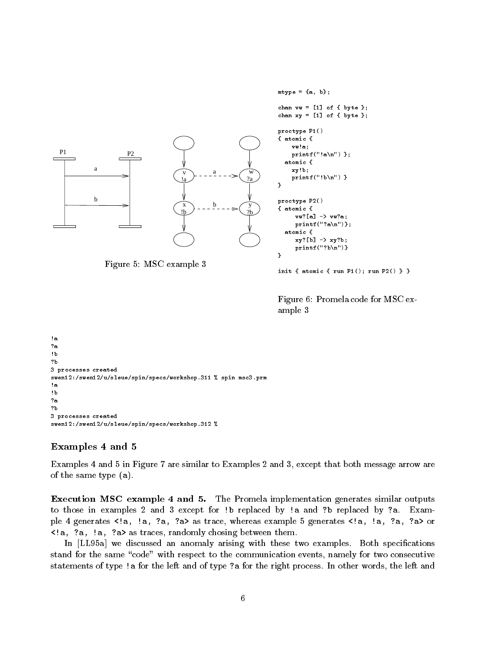```
mtype = {a, b};
                                                                                chan vv = [1] of { byte };
                                                                                chan xy = [1] of \{ byte \};proctype P1()
                                                                                { atomic {
                                                                                     vw!a;
P1 P2
                                                                                     \texttt{print}(''\text{!a\texttt{'n''}}) };
                                                                                   atomic {
            a
                                                                                     xy!b;
                                             \overline{v} \overline{u} \overline{u} \overline{u} \overline{v} \overline{w}a
                                                                                     print(f("!b\n^n)}
                                             \frac{1}{a} ?a
                                                                                ŀ
                                                                                 \overline{ }b
                                                                                proctype P2()
                                             x \rightarrow b \qquad yb
                                                                                { atomic {
                                             \mathbf{b} \rightarrow \mathbf{b}vw?[a] -> vw?a;
                                                                                       printf("?a\n")};
                                                                                   atomic {
                                                                                       xy?[b] -> xy?b;
                                                                                       printf("?b\n")}
                                                                                }
```
Figure 5: MSC example 3

init { atomic { run P1(); run P2() } }

Figure 6: Promela code for MSC example 3

```
!a
?a
!b
?b
3 processes created
swen12:/swen12/u/sleue/spin/specs/workshop.311 % spin msc3.prm
\mathbf{b}?a
3 processes created
swen12:/swen12/u/sleue/spin/specs/workshop.312 %
```
## Examples 4 and 5

Examples 4 and 5 in Figure 7 are similar to Examples 2 and 3, except that both message arrow are of the same type (a).

Execution MSC example 4 and 5. The Promela implementation generates similar outputs to those in examples 2 and 3 except for !b replaced by !a and ?b replaced by ?a. Example 4 generates <!a, !a, ?a, ?a> as trace, whereas example 5 generates <!a, !a, ?a, ?a> or <!a, ?a, !a, ?a> as traces, randomly chosing between them.

In [LL95a] we discussed an anomaly arising with these two examples. Both specifications stand for the same "code" with respect to the communication events, namely for two consecutive statements of type !a for the left and of type ?a for the right process. In other words, the left and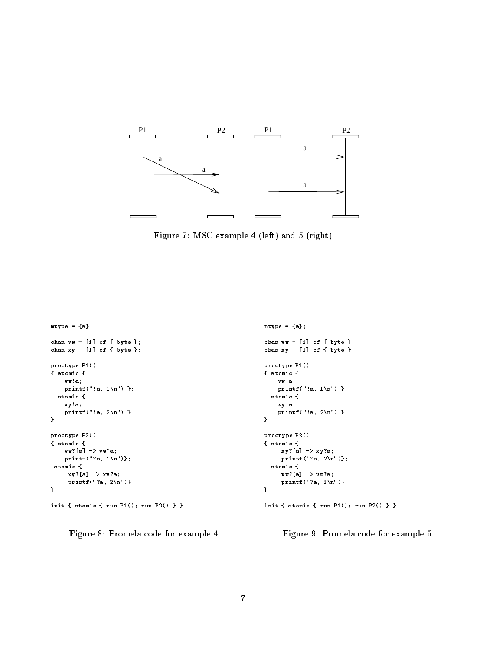

Figure 7: MSC example 4 (left) and 5 (right)

```
mtype = {a};mtype = {a};chan vv = [1] of { byte };
                                                                                     chan vv = [1] of { byte };
chan xy = [1] of { byte };
                                                                                     chan xy = [1] of { byte };
proctype P1()
                                                                                     proctype P1()
{ atomic {
                                                                                     { atomic {
     vw!a;
                                                                                           vw!a;
     printf("!a, 1\langle n") };
                                                                                           printf("!a, 1\n") };
  atomic {
                                                                                        atomic {
                                                                                           xy!a;
     xy!a;
     printf("!a, 2\n") }
                                                                                           printf("!a, 2\n") }
\mathbf{r}}
\overline{a}proctype P2()
                                                                                     proctype P2()
{ atomic {
                                                                                     { atomic {
                                                                                            xy?[a] -> xy?a;
      vw. en various
                                                                                            print(f("?a, 2\n^n);
      printf("); notice that is a print of the property of the property of the property of the property of the property of the property of the property of the property of the property of the property of the property of the prope
 atomic {
                                                                                        atomic {
      xy?[a] -> xy?a;
                                                                                            vw?[a] -> vw?a;
      printf("?a, 2\n")}
                                                                                            printf("?a, 1\n\langle n")}
}
                                                                                     }
init { atomic { run P1(); run P2() } }
                                                                                     init { atomic { run P1(); run P2() } }
```
Figure 8: Promela code for example 4

Figure 9: Promela code for example 5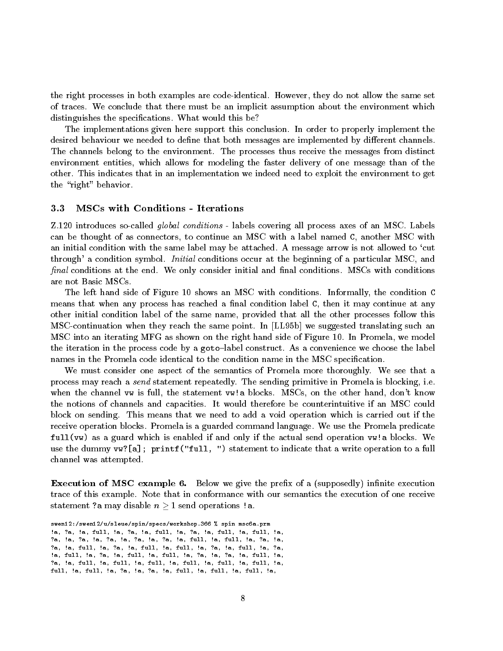the right processes in both examples are code-identical. However, they do not allow the same set of traces. We conclude that there must be an implicit assumption about the environment which distinguishes the specifications. What would this be?

The implementations given here support this conclusion. In order to properly implement the desired behaviour we needed to define that both messages are implemented by different channels. The channels belong to the environment. The processes thus receive the messages from distinct environment entities, which allows for modeling the faster delivery of one message than of the other. This indicates that in an implementation we indeed need to exploit the environment to get the "right" behavior.

#### 3.3MSCs with Conditions - Iterations

Z.120 introduces so-called *global conditions* - labels covering all process axes of an MSC. Labels can be thought of as connectors, to continue an MSC with a label named C, another MSC with an initial condition with the same label may be attached. A message arrow is not allowed to `cut through' a condition symbol. Initial conditions occur at the beginning of a particular MSC, and  $final$  conditions at the end. We only consider initial and final conditions. MSCs with conditions are not Basic MSCs.

The left hand side of Figure 10 shows an MSC with conditions. Informally, the condition C means that when any process has reached a final condition label  $C$ , then it may continue at any other initial condition label of the same name, provided that all the other processes follow this MSC-continuation when they reach the same point. In [LL95b] we suggested translating such an MSC into an iterating MFG as shown on the right hand side of Figure 10. In Promela, we model the iteration in the process code by a goto-label construct. As a convenience we choose the label names in the Promela code identical to the condition name in the MSC specication.

We must consider one aspect of the semantics of Promela more thoroughly. We see that a process may reach a send statement repeatedly. The sending primitive in Promela is blocking, i.e. when the channel vw is full, the statement vw!a blocks. MSCs, on the other hand, don't know the notions of channels and capacities. It would therefore be counterintuitive if an MSC could block on sending. This means that we need to add a void operation which is carried out if the receive operation blocks. Promela is a guarded command language. We use the Promela predicate full(vw) as a guard which is enabled if and only if the actual send operation vw!a blocks. We use the dummy vw?[a]; printf("full, ") statement to indicate that a write operation to a full channel was attempted.

 $\bf{B}$ xecution of MSC example  $\bf{0}$ . Below we give the preha of a (supposedly) infinite execution trace of this example. Note that in conformance with our semantics the execution of one receive statement ?a may disable  $n \geq 1$  send operations !a.

swen12:/swen12/u/sleue/spin/specs/workshop.366 % spin msc6a.prm !a, ?a, !a, full, !a, ?a, !a, full, !a, ?a, !a, full, !a, full, !a, ?a, !a, ?a, !a, ?a, !a, ?a, !a, ?a, !a, full, !a, full, !a, ?a, !a, ?a, !a, full, !a, ?a, !a, full, !a, full, !a, ?a, !a, full, !a, ?a, !a, full, !a, ?a, !a, full, !a, full, !a, ?a, !a, ?a, !a, full, !a, ?a, !a, full, !a, full, !a, full, !a, full, !a, full, !a, full, !a, full, !a, full, !a, ?a, !a, ?a, !a, full, !a, full, !a, full, !a,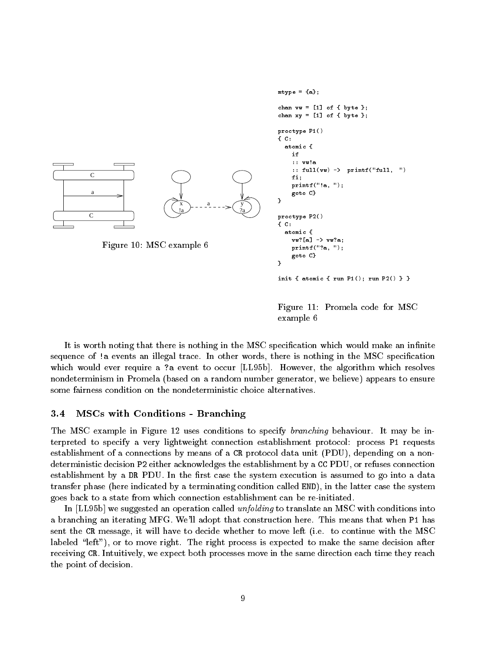

Figure 11: Promela code for MSC example 6

It is worth noting that there is nothing in the MSC specification which would make an infinite sequence of !a events an illegal trace. In other words, there is nothing in the MSC specification which would ever require a ?a event to occur [LL95b]. However, the algorithm which resolves nondeterminism in Promela (based on a random number generator, we believe) appears to ensure some fairness condition on the nondeterministic choice alternatives.

#### 3.4MSCs with Conditions - Branching

The MSC example in Figure 12 uses conditions to specify *branching* behaviour. It may be interpreted to specify a very lightweight connection establishment protocol: process P1 requests establishment of a connections by means of a CR protocol data unit (PDU), depending on a nondeterministic decision P2 either acknowledges the establishment by a CC PDU, or refuses connection establishment by a DR PDU. In the first case the system execution is assumed to go into a data transfer phase (here indicated by a terminating condition called END), in the latter case the system goes back to a state from which connection establishment can be re-initiated.

In [LL95b] we suggested an operation called unfolding to translate an MSC with conditions into a branching an iterating MFG. We'll adopt that construction here. This means that when P1 has sent the CR message, it will have to decide whether to move left (i.e. to continue with the MSC labeled "left"), or to move right. The right process is expected to make the same decision after receiving CR. Intuitively, we expect both processes move in the same direction each time they reach the point of decision.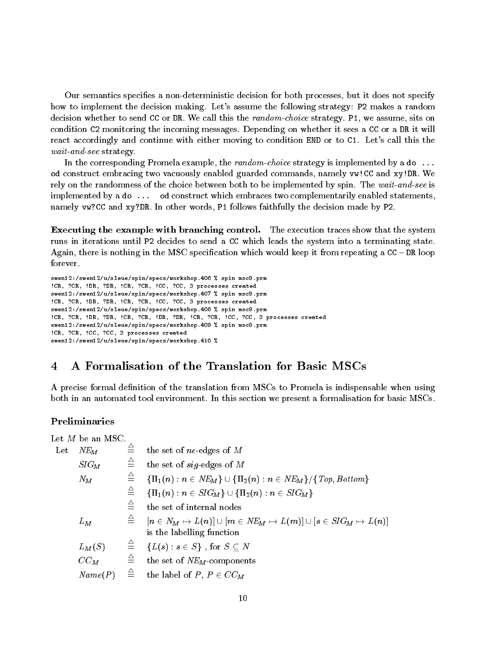Our semantics species a non-deterministic decision for both processes, but it does not specify how to implement the decision making. Let's assume the following strategy: P2 makes a random decision whether to send CC or DR. We call this the random-choice strategy. P1, we assume, sits on condition C2 monitoring the incoming messages. Depending on whether it sees a CC or a DR it will react accordingly and continue with either moving to condition END or to C1. Let's call this the wait-and-see strategy.

In the corresponding Promela example, the random-choice strategy is implemented by a do... od construct embracing two vacuously enabled guarded commands, namely vw!CC and xy!DR. We rely on the randomness of the choice between both to be implemented by spin. The wait-and-see is implemented by a do ... od construct which embraces two complementarily enabled statements, namely vw?CC and xy?DR. In other words, P1 follows faithfully the decision made by P2.

Executing the example with branching control. The execution traces show that the system runs in iterations until P2 decides to send a CC which leads the system into a terminating state. Again, there is nothing in the MSC specification which would keep it from repeating a  $CC - DR$  loop forever.

```
swen12:/swen12/u/sleue/spin/specs/workshop.406 % spin msc9.prm
!CR, ?CR, !DR, ?DR, !CR, ?CR, !CC, ?CC, 3 processes created
swen12:/swen12/u/sleue/spin/specs/workshop.407 % spin msc9.prm
!CR, ?CR, !DR, ?DR, !CR, ?CR, !CC, ?CC, 3 processes created
swen12:/swen12/u/sleue/spin/specs/workshop.408 % spin msc9.prm
!CR, ?CR, !DR, ?DR, !CR, ?CR, !DR, ?DR, !CR, ?CR, !CC, ?CC, 3 processes created
swen12:/swen12/u/sleue/spin/specs/workshop.409 % spin msc9.prm
!CR, ?CR, !CC, ?CC, 3 processes created
swen12:/swen12/u/sleue/spin/specs/workshop.410 %
```
#### 4 4 A Formalisation of the Translation for Basic MSCs

A precise formal definition of the translation from MSCs to Promela is indispensable when using both in an automated tool environment. In this section we present a formalisation for basic MSCs.

### Preliminaries

Let  $M$  be an MSC.

| $\mathop{\rm Let}\nolimits$ | $NE_M$   | $\triangleq$ | the set of $ne$ -edges of M                                                                                                                                                                                                            |  |
|-----------------------------|----------|--------------|----------------------------------------------------------------------------------------------------------------------------------------------------------------------------------------------------------------------------------------|--|
|                             | $SIG_M$  | $\triangleq$ | the set of $sig$ -edges of M                                                                                                                                                                                                           |  |
|                             | $N_M$    | $\triangleq$ | $\{\Pi_1(n): n \in NE_M\} \cup \{\Pi_2(n): n \in NE_M\}/\{\text{Top}, \text{Bottom}\}$                                                                                                                                                 |  |
|                             |          | $\triangleq$ | $\{\Pi_1(n) : n \in SIG_M\} \cup \{\Pi_2(n) : n \in SIG_M\}$                                                                                                                                                                           |  |
|                             |          | $\triangleq$ | the set of internal nodes                                                                                                                                                                                                              |  |
|                             | $L_M$    |              | $\begin{array}{ll} \stackrel{\triangle}{=} & \left\lceil n\in N_M\mapsto L(n)\right\rceil\cup\left\lceil m\in NE_M\mapsto L(m)\right\rceil\cup\left\lceil s\in SIG_M\mapsto L(n)\right\rceil \end{array}$<br>is the labelling function |  |
|                             | $L_M(S)$ |              | $\stackrel{\triangle}{=} \{L(s):s\in S\} \text{ , for } S\subseteq N$                                                                                                                                                                  |  |
|                             | $CC_M$   | $\triangleq$ | the set of NEM-components                                                                                                                                                                                                              |  |
|                             | Name(P)  | $\triangleq$ | the label of $P, P \in CC_M$                                                                                                                                                                                                           |  |
|                             |          |              |                                                                                                                                                                                                                                        |  |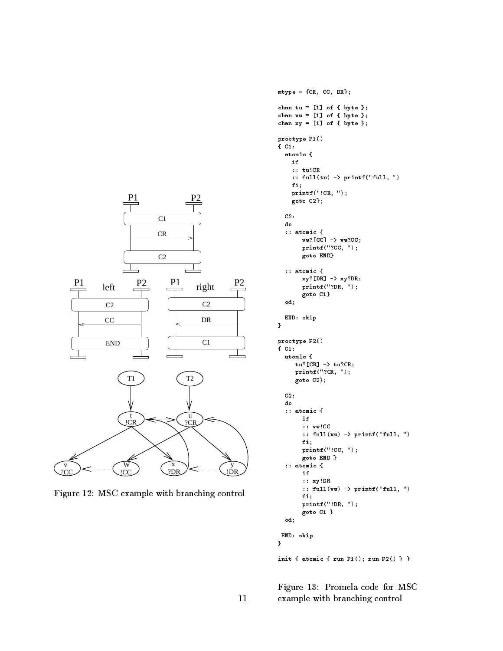

Figure 12: MSC example with branching control

```
mtype = {CR, CC, DR};
chan tu = [1] of { byte };
chan vv = [1] of \{ byte \};chan xy = [1] of { byte };
proctype P1()
{ C1:
  atomic {
    if
    :: tu!CR
    :: full(tu) \rightarrow printf("full, ")
    fi;
    printf("!CR, ");
    goto C2};
  C2:
  do
  :: atomic {
       vw?[CC] -> vw?CC;
       printf("?CC, ");
       goto END}
  :: atomic {
       xy?[DR] -> xy?DR;printf("?DR, ");
       goto C1}
  od;
  END: skip
}
proctype P2()
{ C1:
  atomic {
     tu? [CR] \rightarrow tu?CR;
     printf("?CR, ");
     goto C2};
  C2:
  do
  :: atomic {
       if
       :: vw!CC
       :: full(vw) -> printf("full, ")
       fi;
       printf("!CC, ");
       goto END }
  :: atomic {
       if
       :: xy!DR
       :: full(vw) -> printf("full, ")
       fi;
       printf("!DR, ");
       goto C1 }
  od;
END: skip
}
```
init { atomic { run P1(); run P2() } }

Figure 13: Promela code for MSC 11 example with branching control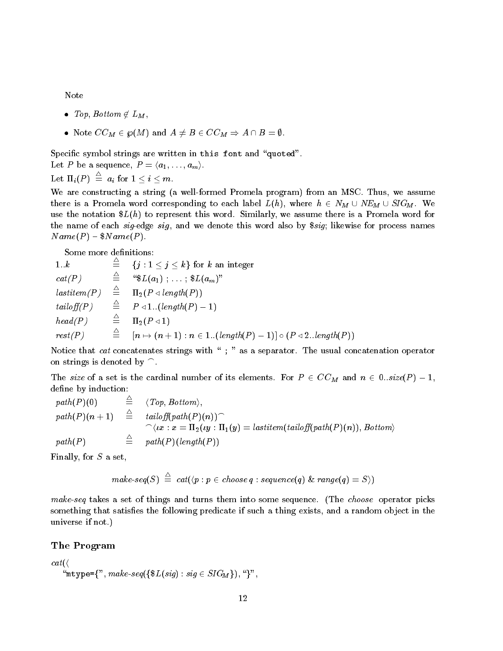Note

- $\bullet$  Top, Bottom  $\notin L_M$ ,
- $\bullet \hspace{0.2cm} \text{Note } CC_{M} \in \wp(M) \text{ and } A \neq B \in CC_{M} \Rightarrow A \cap B = \emptyset.$

Specific symbol strings are written in this font and "quoted".

Let  $P$  be a sequence,  $P = \langle a_1, \ldots, a_m \rangle.$ 

$$
\text{Let} \ \Pi_i(P) \ \stackrel{\scriptscriptstyle\sqcup}{=}\ a_i \ \text{for} \ 1\leq i\leq m.
$$

We are constructing a string (a well-formed Promela program) from an MSC. Thus, we assume there is a Promela word corresponding to each label  $L(h)$ , where  $h \in N_M \cup NE_M \cup SLG_M$ . We use the notation  $L(h)$  to represent this word. Similarly, we assume there is a Promela word for the name of each sig-edge sig, and we denote this word also by \$sig; likewise for process names  $Name(P) - $Name(P)$ .

Some more definitions:

1..k  $\stackrel{\triangle}{=} \{j : 1 \leq j \leq k\}$  for k an integer  $cat(P) \qquad \triangleq \qquad \text{``$$\mathfrak{L}(a_1)$ ; ... ; $$\mathfrak{L}(a_m)$''}$  $\mathit{lastitem}(P) \quad \stackrel{\triangle}{=} \quad \Pi_2(P \triangleleft \mathit{length}(P))$ tailoff(P)  $\triangleq$   $P \triangleleft 1:(length(P) - 1)$  $head(P)$   $\triangleq \Pi_2(P \triangleleft 1)$  $rest(P)$   $\stackrel{\triangle}{=}$   $[n \mapsto (n+1) : n \in 1..(length(P) - 1)] \circ (P \triangleleft 2..length(P))$ 

Notice that *cat* concatenates strings with  $\;$  ; " as a separator. The usual concatenation operator on strings is denoted by  $\cap$ .

The size of a set is the cardinal number of its elements. For  $P \in CC_M$  and  $n \in 0..size(P) - 1$ , define by induction:

$$
\begin{array}{lcl} \mathit{path}(P)(0) & \stackrel{\triangle}{=} & \langle \mathit{Top}, \mathit{Bottom} \rangle, \\ \mathit{path}(P)(n+1) & \stackrel{\triangle}{=} & \mathit{tailoff}(\mathit{path}(P)(n)) \widehat{\ } \\ & \quad \ \ \, \widehat{\ } \langle \mathit{tx} : x = \Pi_2(\mathit{ty} : \Pi_1(\mathit{y}) = \mathit{lastitem}(\mathit{tailoff}(\mathit{path}(P)(n)), \mathit{Bottom} \rangle \\ \mathit{path}(P) & \stackrel{\triangle}{=} & \mathit{path}(P)(\mathit{length}(P)) \end{array}
$$

Finally, for  $S$  a set,

$$
make-seq(S) \triangleq cat(\langle p : p \in choose q : sequence(q) \& range(q) = S \rangle)
$$

make-seq takes a set of things and turns them into some sequence. (The *choose* operator picks something that satisfies the following predicate if such a thing exists, and a random object in the universe if not.)

### The Program

$$
cat(\langle \texttt{\text{\texttt{mtype}}}=\{\texttt{\texttt{``mtype}}=\{\texttt{\texttt{``mtype}}=\texttt{\texttt{``mtype}}=\texttt{\texttt{``mtype}}=\texttt{\texttt{``100}}\} \texttt{``100} \} \texttt{''},
$$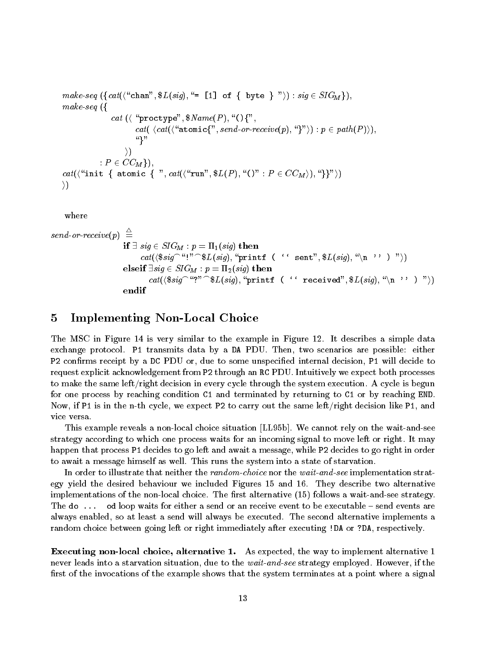$$
\begin{array}{ll}\n\textit{make-seq} \ (\{\textit{cat}(\text{``chan''}, \$L(\textit{sig}), \text{``= [1] of} \ \{ \ \textit{byte} \ \} \text{''})\} : \textit{sig} \in SIG_M \}), \\
\textit{make-seq} \ (\{\textit{cat}(\text{``proctype''}, \$Name(P), \text{``O} \{\text{''}, \\\\ \textit{cat}(\langle \textit{cat}(\text{``atomic}\{\text{''}, \textit{send-or-receive}(p), \text{``} \} \text{''})\} : p \in path(P))\}), \\
& \text{``}\} \text{''} \\
\textit{cat}(\langle \text{``init} \ \{ \ \textit{atomic} \ \{ \text{''}, \textit{cat}(\langle \text{``run''}, \$L(P), \text{``O''} : P \in CC_M \rangle), \text{``} \} \text{''}\rangle)\} \\
& \text{``}\} \text{''} \end{array}
$$

where

$$
send\text{-}or\text{-}receive(p) \stackrel{\triangle}{=} \begin{aligned} \textbf{if} &\exists \ sig \in SIG_{M} : p = \Pi_{1}(sig) \ \textbf{then} \\ & \qquad \qquad cat(\text{\$sig}^{\frown} \text{``!''} \text{\$L} (sig), \text{``print f} \ (\text{`` sent", \$L(sign), \text{``\$L} (sig), \text{``\$N$''$})\text{''}) ) \\ \textbf{elseif} &\exists \ sig \in SIG_{M} : p = \Pi_{2}(sig) \ \textbf{then} \\ & \qquad \qquad cat(\text{\$sig}^{\frown} \text{``?''} \text{\$L} (sig), \text{``print f} \ (\text{`` received", \$L(sign), \text{``\$L} (sig), \text{``\$N$''$})\text{''}) ) \\ \textbf{endif} \end{aligned}
$$

# 5 Implementing Non-Local Choice

The MSC in Figure 14 is very similar to the example in Figure 12. It describes a simple data exchange protocol. P1 transmits data by a DA PDU. Then, two scenarios are possible: either P2 confirms receipt by a DC PDU or, due to some unspecified internal decision, P1 will decide to request explicit acknowledgement from P2 through an RC PDU. Intuitively we expect both processes to make the same left/right decision in every cycle through the system execution. A cycle is begun for one process by reaching condition C1 and terminated by returning to C1 or by reaching END. Now, if P1 is in the n-th cycle, we expect P2 to carry out the same left/right decision like P1, and vice versa.

This example reveals a non-local choice situation [LL95b]. We cannot rely on the wait-and-see strategy according to which one process waits for an incoming signal to move left or right. It may happen that process P1 decides to go left and await a message, while P2 decides to go right in order to await a message himself as well. This runs the system into a state of starvation.

In order to illustrate that neither the *random-choice* nor the *wait-and-see* implementation strategy yield the desired behaviour we included Figures 15 and 16. They describe two alternative implementations of the non-local choice. The first alternative  $(15)$  follows a wait-and-see strategy. The do  $\dots$  od loop waits for either a send or an receive event to be executable  $-$  send events are always enabled, so at least a send will always be executed. The second alternative implements a random choice between going left or right immediately after executing !DA or ?DA, respectively.

Executing non-local choice, alternative 1. As expected, the way to implement alternative 1 never leads into a starvation situation, due to the *wait-and-see* strategy employed. However, if the first of the invocations of the example shows that the system terminates at a point where a signal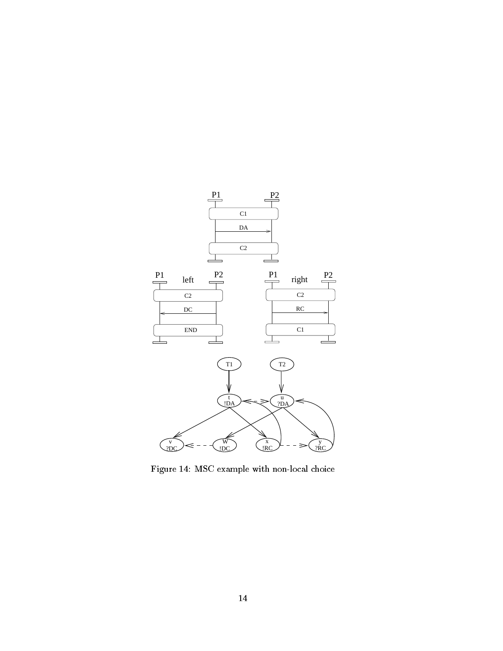

Figure 14: MSC example with non-local choice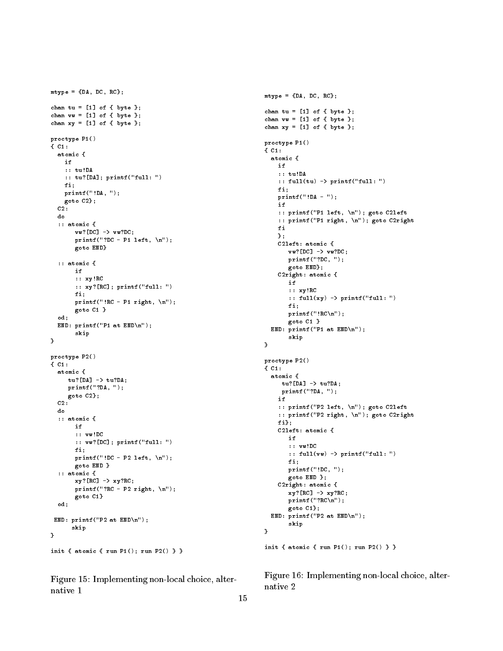```
mtype = {DA, DC, RC};
chan tu = [1] of { byte };
chan vv = [1] of { byte };
chan xy = [1] of { byte };
proctype P1()
{ C1:
  atomic {
    i +:: tu!DA
    :: tu?[DA]; printf("full: ")
    fi;
    printf("!DA, ");
    goto C2};
  c<sub>2</sub>:
  do
  :: atomic {
       vw?[DC] -> vw?DC;
        print("?DC - P1 left, \n\ln");goto END}
  :: atomic {
   : at one can be a set of \mathcal{A}if
        :: xy!RC
        :: xy?[RC]; printf("full: ")
        fi;
        printf("!RC - P1 right, \n");
        goto C1 }
  od:od;
  END: printf("P1 at END\n");
         skip
\overline{ }proctype P2()
{ C1:
  atomic {
     tu?[DA] -> tu?DA;
      printf("?DA, ");
     goto C2};
  C2do
  :: atomic {
        if
        :: vw!DC
         :: vw?[DC]; printf("full: ")
        fi:
         fixation of \mathcal{F} and \mathcal{F}printf("!DC - P2 left, \n");
        goto END }
  :: atomic {
        xy?[RC] -> xy?RC;print(f("?RC - P2 right, \n\ln");
        goto C1}
  od;
 END: printf("P2 at END\n");
       skip
        skip i poznati s poznati s poznati s poznati s poznati s poznati s poznati s poznati s poznati s poznati s poz
}
init { atomic { run P1(); run P2() } }
```
Figure 15: Implementing non-local choice, alternative 1

```
mtype = {DA, DC, RC};
chan tu = [1] of { byte };
chan vv = [1] of { byte };
chan xy = [1] of \{ byte \};proctype P1()
{ C1:
  atomic {
    i +:: tu!DA
    :: full(tu) -> printf("full: ")
    fi;
    printf("!DA - ");
    if
    :: printf("P1 left, \n"); goto C2left
    :: printf("P1 right, \n"); goto C2right
    fi
    };
    C2left: atomic {
       vw?[DC] -> vw?DC;
       printf("?DC, ");
       goto END};
    C2right: atomic {
       :: xy!RC
       :: full(xy) -> printf("full: ")
       fi;
       printf("!RC\n");
       goto C1 }
  END: printf("P1 at END\n");
       skip
}
proctype P2()
{ C1:
  atomic {
  atomic {
     tu?[DA] -> tu?DA;
     printf("?DA, ");
    :: printf("P2 left, \n"); goto C2left
    :: printf("P2 right, \n"); goto C2right
    fi};
    C2left: atomic {
       if
       :: vw!DC
       :: full(vw) \rightarrow printf("full: ")
       fi;
       printf("!DC, ");
       goto END };
    C2right: atomic {
       xy?[RC] -> xy?RC;
       printf("?RC\n");
       goto C1};
  END: printf("P2 at END\n");
       skip
- 1
}
```
init { atomic { run P1(); run P2() } }

Figure 16: Implementing non-local choice, alternative 2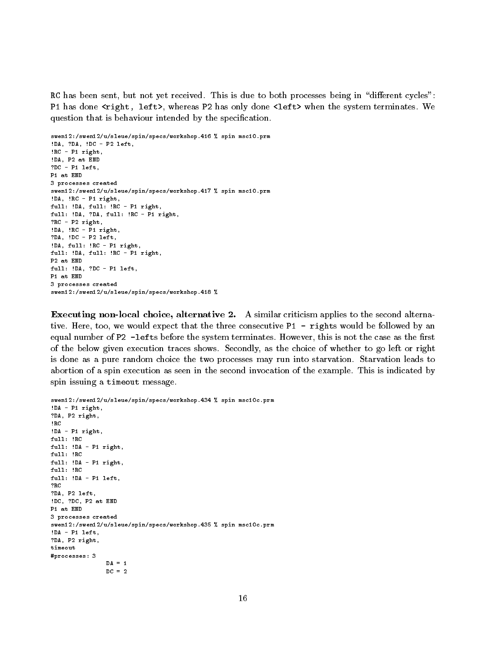RC has been sent, but not yet received. This is due to both processes being in "different cycles": P1 has done <right, left>, whereas P2 has only done <left> when the system terminates. We question that is behaviour intended by the specification.

```
swen12:/swen12/u/sleue/spin/specs/workshop.416 % spin msc10.prm
!DA, ?DA, !DC - P2 left,
!RC - P1 right,
!DA, P2 at END
?DC - P1 left,
P1 at END
3 processes created
swen12:/swen12/u/sleue/spin/specs/workshop.417 % spin msc10.prm
!DA, !RC - P1 right,
full: !DA, full: !RC - P1 right,
full: !DA, ?DA, full: !RC - P1 right,
?RC - P2 right,
!DA, !RC - P1 right,
?DA, !DC - P2 left,
!DA, full: !RC - P1 right,
full: !DA, full: !RC - P1 right,
P2 at END
full: !DA, ?DC - P1 left,
P1 at END
3 processes created
swen12:/swen12/u/sleue/spin/specs/workshop.418 %
```
Executing non-local choice, alternative 2. A similar criticism applies to the second alternative. Here, too, we would expect that the three consecutive P1 - rights would be followed by an equal number of P2 -lefts before the system terminates. However, this is not the case as the first of the below given execution traces shows. Secondly, as the choice of whether to go left or right is done as a pure random choice the two processes may run into starvation. Starvation leads to abortion of a spin execution as seen in the second invocation of the example. This is indicated by spin issuing a timeout message.

```
swen12:/swen12/u/sleue/spin/specs/workshop.434 % spin msc10c.prm
!DA - P1 right,
?DA, P2 right,
!RC
!DA - P1 right,
full: !RC
full: !DA - P1 right,
full: !RC
full: !DA - P1 right,
full: !RC
full: !DA - P1 left,
?RC
?DA, P2 left,
!DC, ?DC, P2 at END
3 processes created
swen12:/swen12/u/sleue/spin/specs/workshop.435 % spin msc10c.prm
!DA - P1 left.
. <u>. . . . . .</u>
?DA, P2 right,
#processes: 3
                DA = 1DC = 2
```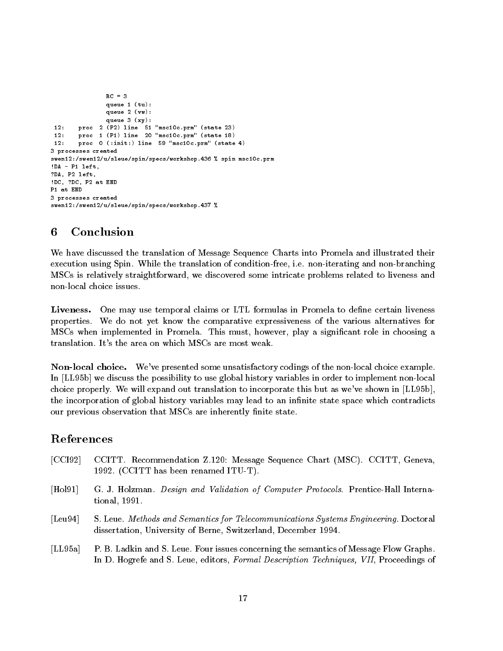```
RC = 3queue 1 (tu):
               queue 2 (vw):
               queue 3 (xy):
 12:proc 2 (P2) line 51 "msc10c.prm" (state 23)
       proc 1 (P1) line 20 "msc10c.prm" (state 18)
12:12: proc 0 (:init:) line 59 "msc10c.prm" (state 4)
3 processes created
swen12:/swen12/u/sleue/spin/specs/workshop.436 % spin msc10c.prm
!DA - P1 left,
?DA, P2 left,
!DC, ?DC, P2 at END
P1 at END
3 processes created
swen12:/swen12/u/sleue/spin/specs/workshop.437 %
```
#### 6 **Conclusion**

We have discussed the translation of Message Sequence Charts into Promela and illustrated their execution using Spin. While the translation of condition-free, i.e. non-iterating and non-branching MSCs is relatively straightforward, we discovered some intricate problems related to liveness and

Liveness.One may use temporal claims or LTL formulas in Promela to define certain liveness properties. We do not yet know the comparative expressiveness of the various alternatives for MSCs when implemented in Promela. This must, however, play a significant role in choosing a translation. It's the area on which MSCs are most weak.

Non-local choice. We've presented some unsatisfactory codings of the non-local choice example. In [LL95b] we discuss the possibility to use global history variables in order to implement non-local choice properly. We will expand out translation to incorporate this but as we've shown in [LL95b], the incorporation of global history variables may lead to an infinite state space which contradicts our previous observation that MSCs are inherently finite state.

# References

- [CCI92] CCITT. Recommendation Z.120: Message Sequence Chart (MSC). CCITT, Geneva, 1992. (CCITT has been renamed ITU-T).
- [Hol91] G. J. Holzman. Design and Validation of Computer Protocols. Prentice-Hall International, 1991.
- [Leu94] S. Leue. Methods and Semantics for Telecommunications Systems Engineering. Doctoral dissertation, University of Berne, Switzerland, December 1994.
- [LL95a] P. B. Ladkin and S. Leue. Four issues concerning the semantics of Message Flow Graphs. In D. Hogrefe and S. Leue, editors, Formal Description Techniques, VII, Proceedings of